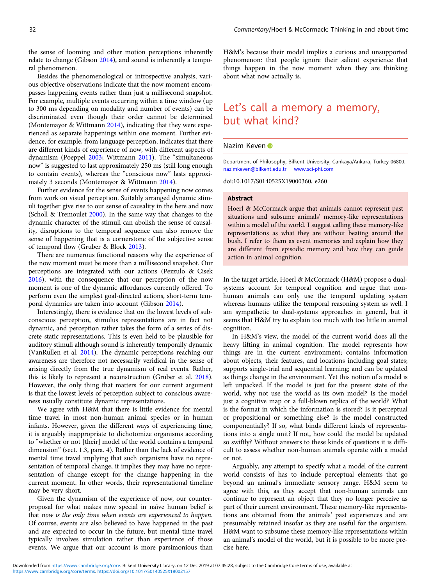the sense of looming and other motion perceptions inherently relate to change (Gibson 2014), and sound is inherently a temporal phenomenon.

Besides the phenomenological or introspective analysis, various objective observations indicate that the now moment encompasses happening events rather than just a millisecond snapshot. For example, multiple events occurring within a time window (up to 300 ms depending on modality and number of events) can be discriminated even though their order cannot be determined (Montemayor & Wittmann 2014), indicating that they were experienced as separate happenings within one moment. Further evidence, for example, from language perception, indicates that there are different kinds of experience of now, with different aspects of dynamism (Poeppel 2003; Wittmann 2011). The "simultaneous now" is suggested to last approximately 250 ms (still long enough to contain events), whereas the "conscious now" lasts approximately 3 seconds (Montemayor & Wittmann 2014).

Further evidence for the sense of events happening now comes from work on visual perception. Suitably arranged dynamic stimuli together give rise to our sense of causality in the here and now (Scholl & Tremoulet 2000). In the same way that changes to the dynamic character of the stimuli can abolish the sense of causality, disruptions to the temporal sequence can also remove the sense of happening that is a cornerstone of the subjective sense of temporal flow (Gruber & Block 2013).

There are numerous functional reasons why the experience of the now moment must be more than a millisecond snapshot. Our perceptions are integrated with our actions (Pezzulo & Cisek 2016), with the consequence that our perception of the now moment is one of the dynamic affordances currently offered. To perform even the simplest goal-directed actions, short-term temporal dynamics are taken into account (Gibson 2014).

Interestingly, there is evidence that on the lowest levels of subconscious perception, stimulus representations are in fact not dynamic, and perception rather takes the form of a series of discrete static representations. This is even held to be plausible for auditory stimuli although sound is inherently temporally dynamic (VanRullen et al. 2014). The dynamic perceptions reaching our awareness are therefore not necessarily veridical in the sense of arising directly from the true dynamism of real events. Rather, this is likely to represent a reconstruction (Gruber et al. 2018). However, the only thing that matters for our current argument is that the lowest levels of perception subject to conscious awareness usually constitute dynamic representations.

We agree with H&M that there is little evidence for mental time travel in most non-human animal species or in human infants. However, given the different ways of experiencing time, it is arguably inappropriate to dichotomize organisms according to "whether or not [their] model of the world contains a temporal dimension" (sect. 1.3, para. 4). Rather than the lack of evidence of mental time travel implying that such organisms have no representation of temporal change, it implies they may have no representation of change except for the change happening in the current moment. In other words, their representational timeline may be very short.

Given the dynamism of the experience of now, our counterproposal for what makes now special in naïve human belief is that now is the only time when events are experienced to happen. Of course, events are also believed to have happened in the past and are expected to occur in the future, but mental time travel typically involves simulation rather than experience of those events. We argue that our account is more parsimonious than

H&M's because their model implies a curious and unsupported phenomenon: that people ignore their salient experience that things happen in the now moment when they are thinking about what now actually is.

## Let's call a memory a memory, but what kind?

#### Nazim Keven D

Department of Philosophy, Bilkent University, Cankaya/Ankara, Turkey 06800. nazimkeven@bilkent.edu.tr www.sci-phi.com

doi:10.1017/S0140525X19000360, e260

#### Abstract

Hoerl & McCormack argue that animals cannot represent past situations and subsume animals' memory-like representations within a model of the world. I suggest calling these memory-like representations as what they are without beating around the bush. I refer to them as event memories and explain how they are different from episodic memory and how they can guide action in animal cognition.

In the target article, Hoerl & McCormack (H&M) propose a dualsystems account for temporal cognition and argue that nonhuman animals can only use the temporal updating system whereas humans utilize the temporal reasoning system as well. I am sympathetic to dual-systems approaches in general, but it seems that H&M try to explain too much with too little in animal cognition.

In H&M's view, the model of the current world does all the heavy lifting in animal cognition. The model represents how things are in the current environment; contains information about objects, their features, and locations including goal states; supports single-trial and sequential learning; and can be updated as things change in the environment. Yet this notion of a model is left unpacked. If the model is just for the present state of the world, why not use the world as its own model? Is the model just a cognitive map or a full-blown replica of the world? What is the format in which the information is stored? Is it perceptual or propositional or something else? Is the model constructed componentially? If so, what binds different kinds of representations into a single unit? If not, how could the model be updated so swiftly? Without answers to these kinds of questions it is difficult to assess whether non-human animals operate with a model or not.

Arguably, any attempt to specify what a model of the current world consists of has to include perceptual elements that go beyond an animal's immediate sensory range. H&M seem to agree with this, as they accept that non-human animals can continue to represent an object that they no longer perceive as part of their current environment. These memory-like representations are obtained from the animals' past experiences and are presumably retained insofar as they are useful for the organism. H&M want to subsume these memory-like representations within an animal's model of the world, but it is possible to be more precise here.